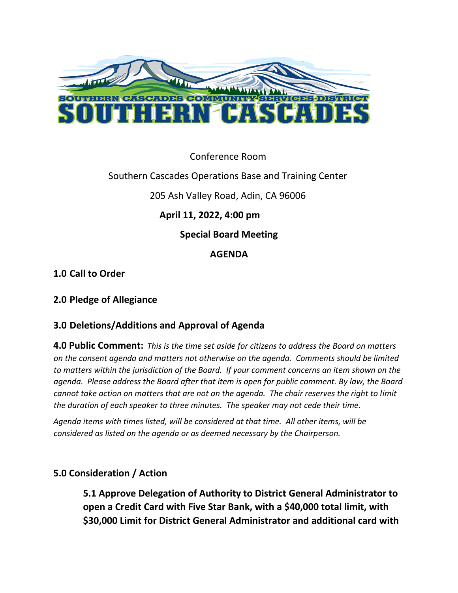

# Conference Room

# Southern Cascades Operations Base and Training Center

205 Ash Valley Road, Adin, CA 96006

**April 11, 2022, 4:00 pm** 

# **Special Board Meeting**

#### **AGENDA**

# **1.0 Call to Order**

### **2.0 Pledge of Allegiance**

# **3.0 Deletions/Additions and Approval of Agenda**

**4.0 Public Comment:** *This is the time set aside for citizens to address the Board on matters on the consent agenda and matters not otherwise on the agenda. Comments should be limited to matters within the jurisdiction of the Board. If your comment concerns an item shown on the agenda. Please address the Board after that item is open for public comment. By law, the Board cannot take action on matters that are not on the agenda. The chair reserves the right to limit the duration of each speaker to three minutes. The speaker may not cede their time.* 

*Agenda items with times listed, will be considered at that time. All other items, will be considered as listed on the agenda or as deemed necessary by the Chairperson.* 

#### **5.0 Consideration / Action**

**5.1 Approve Delegation of Authority to District General Administrator to open a Credit Card with Five Star Bank, with a \$40,000 total limit, with \$30,000 Limit for District General Administrator and additional card with**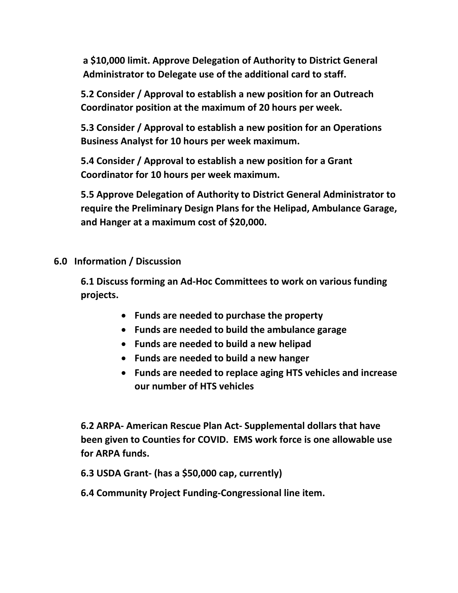**a \$10,000 limit. Approve Delegation of Authority to District General Administrator to Delegate use of the additional card to staff.**

**5.2 Consider / Approval to establish a new position for an Outreach Coordinator position at the maximum of 20 hours per week.**

**5.3 Consider / Approval to establish a new position for an Operations Business Analyst for 10 hours per week maximum.**

**5.4 Consider / Approval to establish a new position for a Grant Coordinator for 10 hours per week maximum.**

**5.5 Approve Delegation of Authority to District General Administrator to require the Preliminary Design Plans for the Helipad, Ambulance Garage, and Hanger at a maximum cost of \$20,000.**

#### **6.0 Information / Discussion**

**6.1 Discuss forming an Ad-Hoc Committees to work on various funding projects.** 

- **Funds are needed to purchase the property**
- **Funds are needed to build the ambulance garage**
- **Funds are needed to build a new helipad**
- **Funds are needed to build a new hanger**
- **Funds are needed to replace aging HTS vehicles and increase our number of HTS vehicles**

**6.2 ARPA- American Rescue Plan Act- Supplemental dollars that have been given to Counties for COVID. EMS work force is one allowable use for ARPA funds.** 

**6.3 USDA Grant- (has a \$50,000 cap, currently)**

**6.4 Community Project Funding-Congressional line item.**